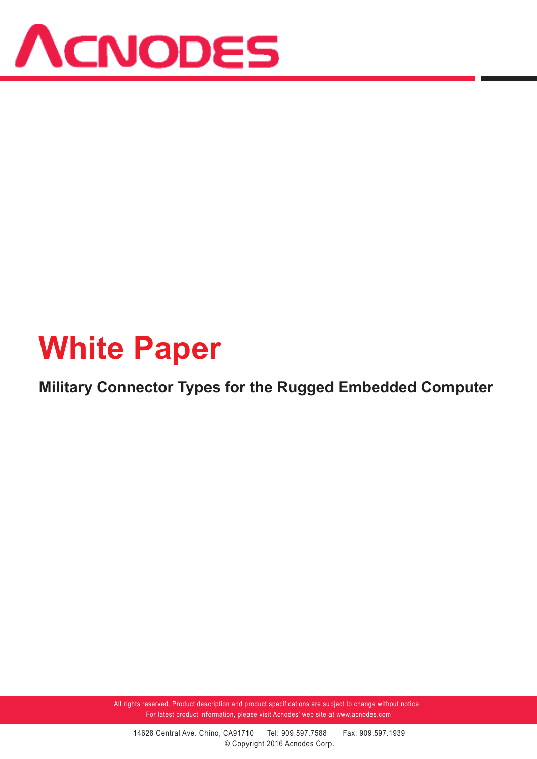

# **White Paper**

### **Military Connector Types for the Rugged Embedded Computer**

All rights reserved. Product description and product specifications are subject to change without notice. For latest product information, please visit Acnodes' web site at www.acnodes.com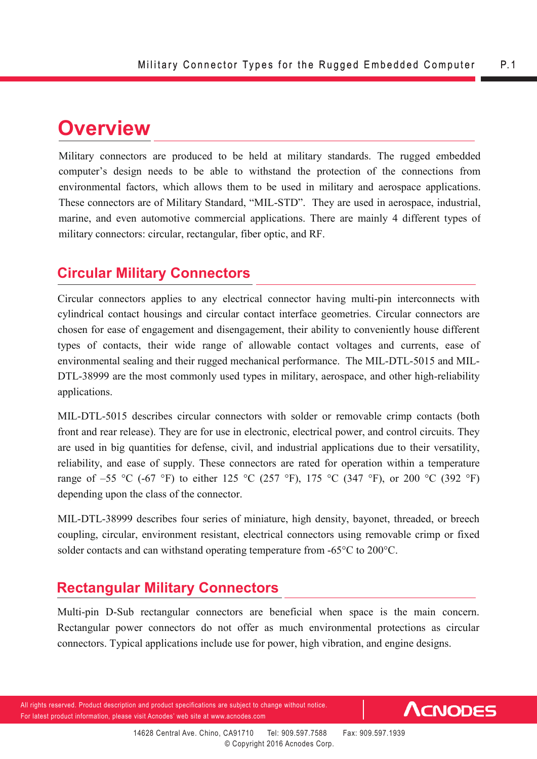## **Overview**

Military connectors are produced to be held at military standards. The rugged embedded computer's design needs to be able to withstand the protection of the connections from environmental factors, which allows them to be used in military and aerospace applications. These connectors are of Military Standard, "MIL-STD". They are used in aerospace, industrial, marine, and even automotive commercial applications. There are mainly 4 different types of military connectors: circular, rectangular, fiber optic, and RF.

#### **Circular Military Connectors**

Circular connectors applies to any electrical connector having multi-pin interconnects with cylindrical contact housings and circular contact interface geometries. Circular connectors are chosen for ease of engagement and disengagement, their ability to conveniently house different types of contacts, their wide range of allowable contact voltages and currents, ease of environmental sealing and their rugged mechanical performance. The MIL-DTL-5015 and MIL-DTL-38999 are the most commonly used types in military, aerospace, and other high-reliability applications.

MIL-DTL-5015 describes circular connectors with solder or removable crimp contacts (both front and rear release). They are for use in electronic, electrical power, and control circuits. They are used in big quantities for defense, civil, and industrial applications due to their versatility, reliability, and ease of supply. These connectors are rated for operation within a temperature range of –55 °C (-67 °F) to either 125 °C (257 °F), 175 °C (347 °F), or 200 °C (392 °F) depending upon the class of the connector.

MIL-DTL-38999 describes four series of miniature, high density, bayonet, threaded, or breech coupling, circular, environment resistant, electrical connectors using removable crimp or fixed solder contacts and can withstand operating temperature from -65°C to 200°C.

#### **Rectangular Military Connectors**

Multi-pin D-Sub rectangular connectors are beneficial when space is the main concern. Rectangular power connectors do not offer as much environmental protections as circular connectors. Typical applications include use for power, high vibration, and engine designs.

All rights reserved. Product description and product specifications are subject to change without notice. For latest product information, please visit Acnodes' web site at www.acnodes.com